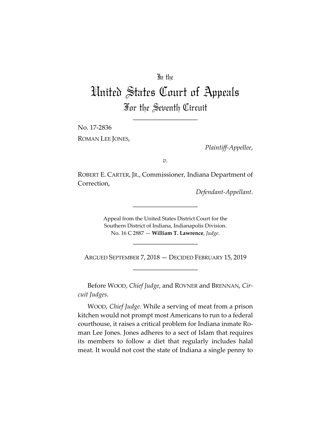## In the

## United States Court of Appeals For the Seventh Circuit

\_\_\_\_\_\_\_\_\_\_\_\_\_\_\_\_\_\_\_\_

No. 17-2836 ROMAN LEE JONES,

*Plaintiff-Appellee*,

*v.*

ROBERT E. CARTER, JR., Commissioner, Indiana Department of Correction,

*Defendant-Appellant*.

Appeal from the United States District Court for the Southern District of Indiana, Indianapolis Division. No. 16 C 2887 — **William T. Lawrence**, *Judge*.

\_\_\_\_\_\_\_\_\_\_\_\_\_\_\_\_\_\_\_\_

\_\_\_\_\_\_\_\_\_\_\_\_\_\_\_\_\_\_\_\_

ARGUED SEPTEMBER 7, 2018 — DECIDED FEBRUARY 15, 2019 \_\_\_\_\_\_\_\_\_\_\_\_\_\_\_\_\_\_\_\_

Before WOOD, *Chief Judge*, and ROVNER and BRENNAN, *Circuit Judges*.

WOOD, *Chief Judge*. While a serving of meat from a prison kitchen would not prompt most Americans to run to a federal courthouse, it raises a critical problem for Indiana inmate Roman Lee Jones. Jones adheres to a sect of Islam that requires its members to follow a diet that regularly includes halal meat. It would not cost the state of Indiana a single penny to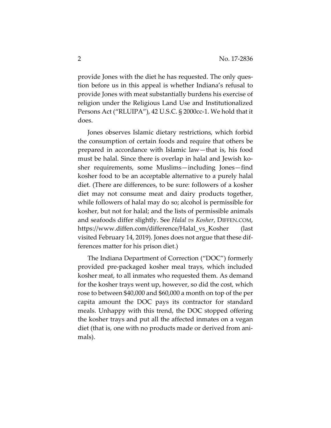provide Jones with the diet he has requested. The only question before us in this appeal is whether Indiana's refusal to provide Jones with meat substantially burdens his exercise of religion under the Religious Land Use and Institutionalized Persons Act ("RLUIPA"), 42 U.S.C. § 2000cc-1. We hold that it does.

Jones observes Islamic dietary restrictions, which forbid the consumption of certain foods and require that others be prepared in accordance with Islamic law—that is, his food must be halal. Since there is overlap in halal and Jewish kosher requirements, some Muslims—including Jones—find kosher food to be an acceptable alternative to a purely halal diet. (There are differences, to be sure: followers of a kosher diet may not consume meat and dairy products together, while followers of halal may do so; alcohol is permissible for kosher, but not for halal; and the lists of permissible animals and seafoods differ slightly. See *Halal vs Kosher*, DIFFEN.COM, https://www.diffen.com/difference/Halal\_vs\_Kosher (last visited February 14, 2019). Jones does not argue that these differences matter for his prison diet.)

The Indiana Department of Correction ("DOC") formerly provided pre-packaged kosher meal trays, which included kosher meat, to all inmates who requested them. As demand for the kosher trays went up, however, so did the cost, which rose to between \$40,000 and \$60,000 a month on top of the per capita amount the DOC pays its contractor for standard meals. Unhappy with this trend, the DOC stopped offering the kosher trays and put all the affected inmates on a vegan diet (that is, one with no products made or derived from animals).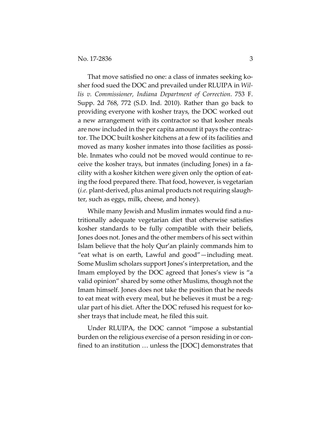That move satisfied no one: a class of inmates seeking kosher food sued the DOC and prevailed under RLUIPA in *Willis v. Commissioner, Indiana Department of Correction*. 753 F. Supp. 2d 768, 772 (S.D. Ind. 2010). Rather than go back to providing everyone with kosher trays, the DOC worked out a new arrangement with its contractor so that kosher meals are now included in the per capita amount it pays the contractor. The DOC built kosher kitchens at a few of its facilities and moved as many kosher inmates into those facilities as possible. Inmates who could not be moved would continue to receive the kosher trays, but inmates (including Jones) in a facility with a kosher kitchen were given only the option of eating the food prepared there. That food, however, is vegetarian (*i.e.* plant-derived, plus animal products not requiring slaughter, such as eggs, milk, cheese, and honey).

While many Jewish and Muslim inmates would find a nutritionally adequate vegetarian diet that otherwise satisfies kosher standards to be fully compatible with their beliefs, Jones does not. Jones and the other members of his sect within Islam believe that the holy Qur'an plainly commands him to "eat what is on earth, Lawful and good"—including meat. Some Muslim scholars support Jones's interpretation, and the Imam employed by the DOC agreed that Jones's view is "a valid opinion" shared by some other Muslims, though not the Imam himself. Jones does not take the position that he needs to eat meat with every meal, but he believes it must be a regular part of his diet. After the DOC refused his request for kosher trays that include meat, he filed this suit.

Under RLUIPA, the DOC cannot "impose a substantial burden on the religious exercise of a person residing in or confined to an institution … unless the [DOC] demonstrates that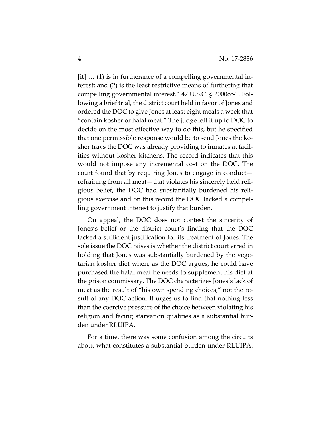[it] … (1) is in furtherance of a compelling governmental interest; and (2) is the least restrictive means of furthering that compelling governmental interest." 42 U.S.C. § 2000cc-1. Following a brief trial, the district court held in favor of Jones and ordered the DOC to give Jones at least eight meals a week that "contain kosher or halal meat." The judge left it up to DOC to decide on the most effective way to do this, but he specified that one permissible response would be to send Jones the kosher trays the DOC was already providing to inmates at facilities without kosher kitchens. The record indicates that this would not impose any incremental cost on the DOC. The court found that by requiring Jones to engage in conduct refraining from all meat—that violates his sincerely held religious belief, the DOC had substantially burdened his religious exercise and on this record the DOC lacked a compelling government interest to justify that burden.

On appeal, the DOC does not contest the sincerity of Jones's belief or the district court's finding that the DOC lacked a sufficient justification for its treatment of Jones. The sole issue the DOC raises is whether the district court erred in holding that Jones was substantially burdened by the vegetarian kosher diet when, as the DOC argues, he could have purchased the halal meat he needs to supplement his diet at the prison commissary. The DOC characterizes Jones's lack of meat as the result of "his own spending choices," not the result of any DOC action. It urges us to find that nothing less than the coercive pressure of the choice between violating his religion and facing starvation qualifies as a substantial burden under RLUIPA.

For a time, there was some confusion among the circuits about what constitutes a substantial burden under RLUIPA.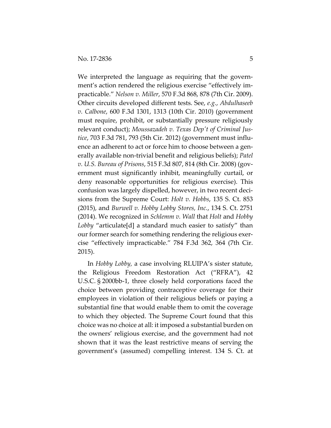We interpreted the language as requiring that the government's action rendered the religious exercise "effectively impracticable." *Nelson v. Miller*, 570 F.3d 868, 878 (7th Cir. 2009). Other circuits developed different tests. See, *e.g.*, *Abdulhaseeb v. Calbone*, 600 F.3d 1301, 1313 (10th Cir. 2010) (government must require, prohibit, or substantially pressure religiously relevant conduct); *Moussazadeh v. Texas Dep't of Criminal Justice*, 703 F.3d 781, 793 (5th Cir. 2012) (government must influence an adherent to act or force him to choose between a generally available non-trivial benefit and religious beliefs); *Patel v. U.S. Bureau of Prisons*, 515 F.3d 807, 814 (8th Cir. 2008) (government must significantly inhibit, meaningfully curtail, or deny reasonable opportunities for religious exercise). This confusion was largely dispelled, however, in two recent decisions from the Supreme Court: *Holt v. Hobbs*, 135 S. Ct. 853 (2015), and *Burwell v. Hobby Lobby Stores, Inc.*, 134 S. Ct. 2751 (2014). We recognized in *Schlemm v. Wall* that *Holt* and *Hobby*  Lobby "articulate[d] a standard much easier to satisfy" than our former search for something rendering the religious exercise "effectively impracticable." 784 F.3d 362, 364 (7th Cir. 2015).

In *Hobby Lobby,* a case involving RLUIPA's sister statute, the Religious Freedom Restoration Act ("RFRA"), 42 U.S.C. § 2000bb-1, three closely held corporations faced the choice between providing contraceptive coverage for their employees in violation of their religious beliefs or paying a substantial fine that would enable them to omit the coverage to which they objected. The Supreme Court found that this choice was no choice at all: it imposed a substantial burden on the owners' religious exercise, and the government had not shown that it was the least restrictive means of serving the government's (assumed) compelling interest. 134 S. Ct. at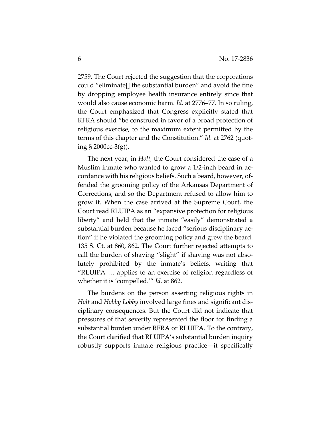2759. The Court rejected the suggestion that the corporations could "eliminate[] the substantial burden" and avoid the fine by dropping employee health insurance entirely since that would also cause economic harm. *Id.* at 2776–77. In so ruling, the Court emphasized that Congress explicitly stated that RFRA should "be construed in favor of a broad protection of religious exercise, to the maximum extent permitted by the terms of this chapter and the Constitution." *Id.* at 2762 (quoting § 2000cc-3(g)).

The next year, in *Holt,* the Court considered the case of a Muslim inmate who wanted to grow a 1/2-inch beard in accordance with his religious beliefs. Such a beard, however, offended the grooming policy of the Arkansas Department of Corrections, and so the Department refused to allow him to grow it. When the case arrived at the Supreme Court, the Court read RLUIPA as an "expansive protection for religious liberty" and held that the inmate "easily" demonstrated a substantial burden because he faced "serious disciplinary action" if he violated the grooming policy and grew the beard. 135 S. Ct. at 860, 862. The Court further rejected attempts to call the burden of shaving "slight" if shaving was not absolutely prohibited by the inmate's beliefs, writing that "RLUIPA … applies to an exercise of religion regardless of whether it is 'compelled.'" *Id.* at 862.

The burdens on the person asserting religious rights in *Holt* and *Hobby Lobby* involved large fines and significant disciplinary consequences. But the Court did not indicate that pressures of that severity represented the floor for finding a substantial burden under RFRA or RLUIPA. To the contrary, the Court clarified that RLUIPA's substantial burden inquiry robustly supports inmate religious practice—it specifically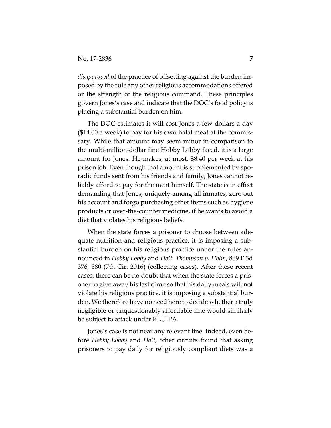*disapproved* of the practice of offsetting against the burden imposed by the rule any other religious accommodations offered or the strength of the religious command. These principles govern Jones's case and indicate that the DOC's food policy is placing a substantial burden on him.

The DOC estimates it will cost Jones a few dollars a day (\$14.00 a week) to pay for his own halal meat at the commissary. While that amount may seem minor in comparison to the multi-million-dollar fine Hobby Lobby faced, it is a large amount for Jones. He makes, at most, \$8.40 per week at his prison job. Even though that amount is supplemented by sporadic funds sent from his friends and family, Jones cannot reliably afford to pay for the meat himself. The state is in effect demanding that Jones, uniquely among all inmates, zero out his account and forgo purchasing other items such as hygiene products or over-the-counter medicine, if he wants to avoid a diet that violates his religious beliefs.

When the state forces a prisoner to choose between adequate nutrition and religious practice, it is imposing a substantial burden on his religious practice under the rules announced in *Hobby Lobby* and *Holt*. *Thompson v. Holm*, 809 F.3d 376, 380 (7th Cir. 2016) (collecting cases). After these recent cases, there can be no doubt that when the state forces a prisoner to give away his last dime so that his daily meals will not violate his religious practice, it is imposing a substantial burden. We therefore have no need here to decide whether a truly negligible or unquestionably affordable fine would similarly be subject to attack under RLUIPA.

Jones's case is not near any relevant line. Indeed, even before *Hobby Lobby* and *Holt*, other circuits found that asking prisoners to pay daily for religiously compliant diets was a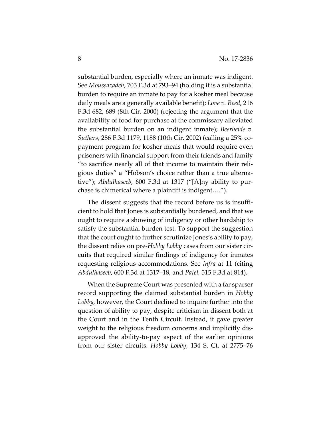substantial burden, especially where an inmate was indigent. See *Moussazadeh*, 703 F.3d at 793–94 (holding it is a substantial burden to require an inmate to pay for a kosher meal because daily meals are a generally available benefit); *Love v. Reed*, 216 F.3d 682, 689 (8th Cir. 2000) (rejecting the argument that the availability of food for purchase at the commissary alleviated the substantial burden on an indigent inmate); *Beerheide v. Suthers*, 286 F.3d 1179, 1188 (10th Cir. 2002) (calling a 25% copayment program for kosher meals that would require even prisoners with financial support from their friends and family "to sacrifice nearly all of that income to maintain their religious duties" a "Hobson's choice rather than a true alternative"); *Abdulhaseeb*, 600 F.3d at 1317 ("[A]ny ability to purchase is chimerical where a plaintiff is indigent….").

The dissent suggests that the record before us is insufficient to hold that Jones is substantially burdened, and that we ought to require a showing of indigency or other hardship to satisfy the substantial burden test. To support the suggestion that the court ought to further scrutinize Jones's ability to pay, the dissent relies on pre-*Hobby Lobby* cases from our sister circuits that required similar findings of indigency for inmates requesting religious accommodations. See *infra* at 11 (citing *Abdulhaseeb*, 600 F.3d at 1317–18, and *Patel,* 515 F.3d at 814).

When the Supreme Court was presented with a far sparser record supporting the claimed substantial burden in *Hobby Lobby,* however, the Court declined to inquire further into the question of ability to pay, despite criticism in dissent both at the Court and in the Tenth Circuit. Instead, it gave greater weight to the religious freedom concerns and implicitly disapproved the ability-to-pay aspect of the earlier opinions from our sister circuits. *Hobby Lobby*, 134 S. Ct. at 2775–76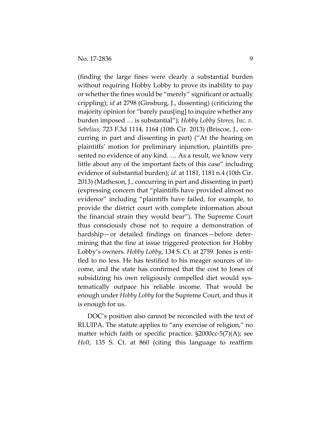(finding the large fines were clearly a substantial burden without requiring Hobby Lobby to prove its inability to pay or whether the fines would be "merely" significant or actually crippling); *id* at 2798 (Ginsburg, J., dissenting) (criticizing the majority opinion for "barely paus[ing] to inquire whether any burden imposed … is substantial"); *Hobby Lobby Stores, Inc. v. Sebelius*, 723 F.3d 1114, 1164 (10th Cir. 2013) (Briscoe, J., concurring in part and dissenting in part) ("At the hearing on plaintiffs' motion for preliminary injunction, plaintiffs presented no evidence of any kind. … As a result, we know very little about any of the important facts of this case" including evidence of substantial burden); *id.* at 1181, 1181 n.4 (10th Cir. 2013) (Matheson, J., concurring in part and dissenting in part) (expressing concern that "plaintiffs have provided almost no evidence" including "plaintiffs have failed, for example, to provide the district court with complete information about the financial strain they would bear"). The Supreme Court thus consciously chose not to require a demonstration of hardship—or detailed findings on finances—before determining that the fine at issue triggered protection for Hobby Lobby's owners. *Hobby Lobby*, 134 S. Ct. at 2759. Jones is entitled to no less. He has testified to his meager sources of income, and the state has confirmed that the cost to Jones of subsidizing his own religiously compelled diet would systematically outpace his reliable income. That would be enough under *Hobby Lobby* for the Supreme Court, and thus it is enough for us.

DOC's position also cannot be reconciled with the text of RLUIPA. The statute applies to "any exercise of religion," no matter which faith or specific practice.  $\S2000cc-5(7)(A)$ ; see *Holt,* 135 S. Ct. at 860 (citing this language to reaffirm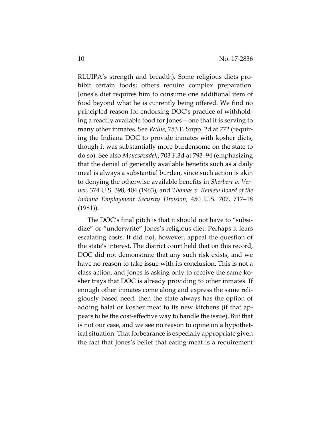RLUIPA's strength and breadth)*.* Some religious diets prohibit certain foods; others require complex preparation. Jones's diet requires him to consume one additional item of food beyond what he is currently being offered. We find no principled reason for endorsing DOC's practice of withholding a readily available food for Jones—one that it is serving to many other inmates. See *Willis*, 753 F. Supp. 2d at 772 (requiring the Indiana DOC to provide inmates with kosher diets, though it was substantially more burdensome on the state to do so). See also *Moussazadeh*, 703 F.3d at 793–94 (emphasizing that the denial of generally available benefits such as a daily meal is always a substantial burden, since such action is akin to denying the otherwise available benefits in *Sherbert v. Verner,* 374 U.S. 398, 404 (1963), and *Thomas v. Review Board of the Indiana Employment Security Division,* 450 U.S. 707, 717–18 (1981)).

The DOC's final pitch is that it should not have to "subsidize" or "underwrite" Jones's religious diet. Perhaps it fears escalating costs. It did not, however, appeal the question of the state's interest. The district court held that on this record, DOC did not demonstrate that any such risk exists, and we have no reason to take issue with its conclusion. This is not a class action, and Jones is asking only to receive the same kosher trays that DOC is already providing to other inmates. If enough other inmates come along and express the same religiously based need, then the state always has the option of adding halal or kosher meat to its new kitchens (if that appears to be the cost-effective way to handle the issue). But that is not our case, and we see no reason to opine on a hypothetical situation. That forbearance is especially appropriate given the fact that Jones's belief that eating meat is a requirement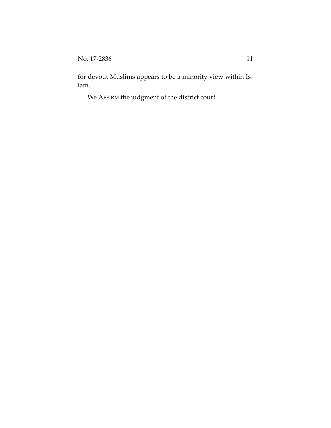for devout Muslims appears to be a minority view within Islam.

We AFFIRM the judgment of the district court.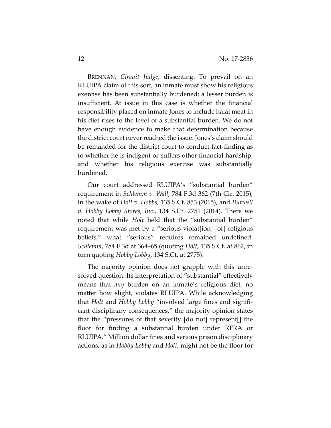BRENNAN, *Circuit Judge*, dissenting. To prevail on an RLUIPA claim of this sort, an inmate must show his religious exercise has been substantially burdened; a lesser burden is insufficient. At issue in this case is whether the financial responsibility placed on inmate Jones to include halal meat in his diet rises to the level of a substantial burden. We do not have enough evidence to make that determination because the district court never reached the issue. Jones's claim should be remanded for the district court to conduct fact-finding as to whether he is indigent or suffers other financial hardship, and whether his religious exercise was substantially burdened.

Our court addressed RLUIPA's "substantial burden" requirement in *Schlemm v. Wall*, 784 F.3d 362 (7th Cir. 2015), in the wake of *Holt v. Hobbs*, 135 S.Ct. 853 (2015), and *Burwell v. Hobby Lobby Stores, Inc.*, 134 S.Ct. 2751 (2014). There we noted that while *Holt* held that the "substantial burden" requirement was met by a "serious violat[ion] [of] religious beliefs," what "serious" requires remained undefined. *Schlemm*, 784 F.3d at 364–65 (quoting *Holt*, 135 S.Ct. at 862, in turn quoting *Hobby Lobby*, 134 S.Ct. at 2775).

The majority opinion does not grapple with this unresolved question. Its interpretation of "substantial" effectively means that *any* burden on an inmate's religious diet, no matter how slight, violates RLUIPA. While acknowledging that *Holt* and *Hobby Lobby* "involved large fines and significant disciplinary consequences," the majority opinion states that the "pressures of that severity [do not] represent[] the floor for finding a substantial burden under RFRA or RLUIPA." Million dollar fines and serious prison disciplinary actions, as in *Hobby Lobby* and *Holt*, might not be the floor for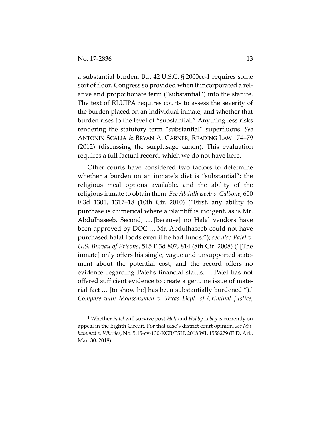$\overline{a}$ 

a substantial burden. But 42 U.S.C. § 2000cc-1 requires some sort of floor. Congress so provided when it incorporated a relative and proportionate term ("substantial") into the statute. The text of RLUIPA requires courts to assess the severity of the burden placed on an individual inmate, and whether that burden rises to the level of "substantial." Anything less risks rendering the statutory term "substantial" superfluous. *See*  ANTONIN SCALIA & BRYAN A. GARNER, READING LAW 174–79 (2012) (discussing the surplusage canon). This evaluation requires a full factual record, which we do not have here.

Other courts have considered two factors to determine whether a burden on an inmate's diet is "substantial": the religious meal options available, and the ability of the religious inmate to obtain them. *See Abdulhaseeb v. Calbone*, 600 F.3d 1301, 1317–18 (10th Cir. 2010) ("First, any ability to purchase is chimerical where a plaintiff is indigent, as is Mr. Abdulhaseeb. Second, … [because] no Halal vendors have been approved by DOC … Mr. Abdulhaseeb could not have purchased halal foods even if he had funds."); *see also Patel v. U.S. Bureau of Prisons*, 515 F.3d 807, 814 (8th Cir. 2008) ("[The inmate] only offers his single, vague and unsupported statement about the potential cost, and the record offers no evidence regarding Patel's financial status. … Patel has not offered sufficient evidence to create a genuine issue of material fact … [to show he] has been substantially burdened.").1 *Compare with Moussazadeh v. Texas Dept. of Criminal Justice*,

<sup>1</sup> Whether *Patel* will survive post-*Holt* and *Hobby Lobby* is currently on appeal in the Eighth Circuit. For that case's district court opinion, *see Muhammad v. Wheeler*, No. 5:15-cv-130-KGB/PSH, 2018 WL 1558279 (E.D. Ark. Mar. 30, 2018).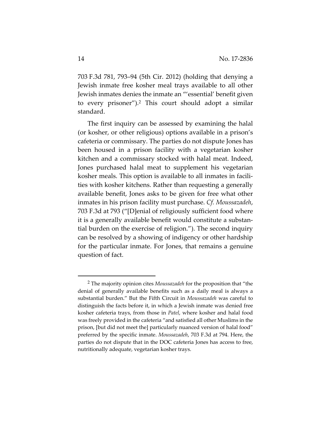703 F.3d 781, 793–94 (5th Cir. 2012) (holding that denying a Jewish inmate free kosher meal trays available to all other Jewish inmates denies the inmate an "'essential' benefit given to every prisoner").2 This court should adopt a similar standard.

The first inquiry can be assessed by examining the halal (or kosher, or other religious) options available in a prison's cafeteria or commissary. The parties do not dispute Jones has been housed in a prison facility with a vegetarian kosher kitchen and a commissary stocked with halal meat. Indeed, Jones purchased halal meat to supplement his vegetarian kosher meals. This option is available to all inmates in facilities with kosher kitchens. Rather than requesting a generally available benefit, Jones asks to be given for free what other inmates in his prison facility must purchase. *Cf. Moussazadeh*, 703 F.3d at 793 ("[D]enial of religiously sufficient food where it is a generally available benefit would constitute a substantial burden on the exercise of religion."). The second inquiry can be resolved by a showing of indigency or other hardship for the particular inmate. For Jones, that remains a genuine question of fact.

 <sup>2</sup> The majority opinion cites *Moussazadeh* for the proposition that "the denial of generally available benefits such as a daily meal is always a substantial burden." But the Fifth Circuit in *Moussazadeh* was careful to distinguish the facts before it, in which a Jewish inmate was denied free kosher cafeteria trays, from those in *Patel*, where kosher and halal food was freely provided in the cafeteria "and satisfied all other Muslims in the prison, [but did not meet the] particularly nuanced version of halal food" preferred by the specific inmate. *Moussazadeh*, 703 F.3d at 794. Here, the parties do not dispute that in the DOC cafeteria Jones has access to free, nutritionally adequate, vegetarian kosher trays.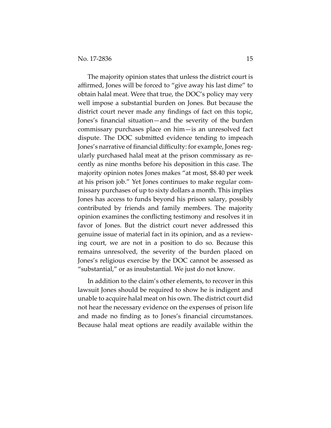The majority opinion states that unless the district court is affirmed, Jones will be forced to "give away his last dime" to obtain halal meat. Were that true, the DOC's policy may very well impose a substantial burden on Jones. But because the district court never made any findings of fact on this topic, Jones's financial situation—and the severity of the burden commissary purchases place on him—is an unresolved fact dispute. The DOC submitted evidence tending to impeach Jones's narrative of financial difficulty: for example, Jones regularly purchased halal meat at the prison commissary as recently as nine months before his deposition in this case. The majority opinion notes Jones makes "at most, \$8.40 per week at his prison job." Yet Jones continues to make regular commissary purchases of up to sixty dollars a month. This implies Jones has access to funds beyond his prison salary, possibly contributed by friends and family members. The majority opinion examines the conflicting testimony and resolves it in favor of Jones. But the district court never addressed this genuine issue of material fact in its opinion, and as a reviewing court, we are not in a position to do so. Because this remains unresolved, the severity of the burden placed on Jones's religious exercise by the DOC cannot be assessed as "substantial," or as insubstantial. We just do not know.

In addition to the claim's other elements, to recover in this lawsuit Jones should be required to show he is indigent and unable to acquire halal meat on his own. The district court did not hear the necessary evidence on the expenses of prison life and made no finding as to Jones's financial circumstances. Because halal meat options are readily available within the